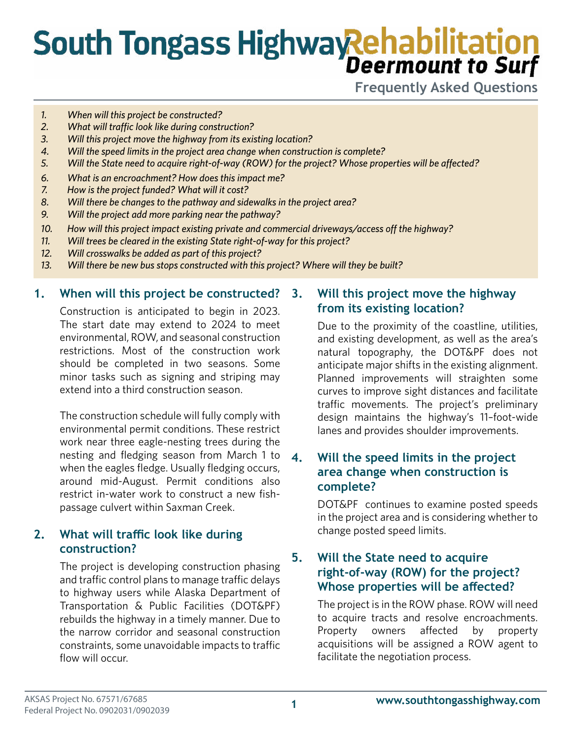# **South Tongass Highway Rehabilitation**

**Frequently Asked Questions**

- *1. When will this project be constructed?*
- *2. What will traffic look like during construction?*
- *3. Will this project move the highway from its existing location?*
- *4. Will the speed limits in the project area change when construction is complete?*
- *5. Will the State need to acquire right-of-way (ROW) for the project? Whose properties will be affected?*
- *6. What is an encroachment? How does this impact me?*
- *7. How is the project funded? What will it cost?*
- *8. Will there be changes to the pathway and sidewalks in the project area?*
- *9. Will the project add more parking near the pathway?*
- *10. How will this project impact existing private and commercial driveways/access off the highway?*
- *11. Will trees be cleared in the existing State right-of-way for this project?*
- *12. Will crosswalks be added as part of this project?*
- *13. Will there be new bus stops constructed with this project? Where will they be built?*

#### **1. When will this project be constructed?**

Construction is anticipated to begin in 2023. The start date may extend to 2024 to meet environmental, ROW, and seasonal construction restrictions. Most of the construction work should be completed in two seasons. Some minor tasks such as signing and striping may extend into a third construction season.

The construction schedule will fully comply with environmental permit conditions. These restrict work near three eagle-nesting trees during the nesting and fledging season from March 1 to when the eagles fledge. Usually fledging occurs, around mid-August. Permit conditions also restrict in-water work to construct a new fishpassage culvert within Saxman Creek.

## **2. What will traffic look like during construction?**

The project is developing construction phasing and traffic control plans to manage traffic delays to highway users while Alaska Department of Transportation & Public Facilities (DOT&PF) rebuilds the highway in a timely manner. Due to the narrow corridor and seasonal construction constraints, some unavoidable impacts to traffic flow will occur.

#### **3. Will this project move the highway from its existing location?**

Due to the proximity of the coastline, utilities, and existing development, as well as the area's natural topography, the DOT&PF does not anticipate major shifts in the existing alignment. Planned improvements will straighten some curves to improve sight distances and facilitate traffic movements. The project's preliminary design maintains the highway's 11–foot-wide lanes and provides shoulder improvements.

#### **4. Will the speed limits in the project area change when construction is complete?**

DOT&PF continues to examine posted speeds in the project area and is considering whether to change posted speed limits.

## **5. Will the State need to acquire right-of-way (ROW) for the project? Whose properties will be affected?**

The project is in the ROW phase. ROW will need to acquire tracts and resolve encroachments. Property owners affected by property acquisitions will be assigned a ROW agent to facilitate the negotiation process.